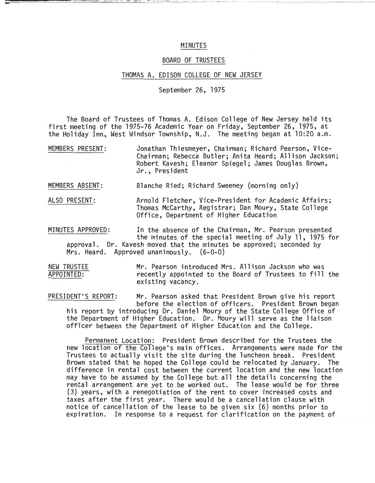## MINUTES

## BOARD OF TRUSTEES

## THOMAS A. EDISON COLLEGE OF NEW JERSEY

September 26, 1975

The Board of Trustees of Thomas A. Edison College of New Jersey held its first meeting of the 1975-76 Academic Year on Friday, September 26, 1975, at the Holiday Inn, West Windsor Township, N.J. The meeting began at 10:20 a.m.

MEMBERS PRESENT: Jonathan Thiesmeyer, Chairman; Richard Pearson, Vice-Chairman; Rebecca Butler; Anita Heard; Allison Jackson; Robert Kavesh; Eleanor Spiegel; James Douglas Brown, Jr., President

MEMBERS ABSENT: Blanche Ried; Richard Sweeney (morning only)

ALSO PRESENT: Arnold Fletcher, Vice-President for Academic Affairs; Thomas McCarthy, Registrar; Dan Moury, State College Office, Department of Higher Education

MINUTES APPROVED: In the absence of the Chairman, Mr. Pearson presented the minutes of the special meeting of July 11, 1975 for approval. Dr. Kavesh moved that the minutes be approved; seconded by Mrs. Heard. Approved unanimously. (6-0-0)

NEW TRUSTEE Mr. Pearson introduced Mrs. Allison Jackson who was APPOINTED: recently appointed to the Board of Trustees to fill the existing vacancy.

PRESIDENT'S REPORT: Mr. Pearson asked that President Brown give his report before the election of officers. President Brown began<br>his report by introducing Dr. Daniel Moury of the State College Office of the Department of Higher Education. Dr. Moury will serve as the liaison officer between the Department of Higher Education and the College.

Permanent Location: President Brown described for the Trustees the new location of the College's main offices. Arrangements were made for the Trustees to actually visit the site during the luncheon break. President Brown stated that he hoped the College could be relocated by January. The difference in rental cost between the current location and the new location may have to be assumed by the College but all the details concerning the rental arrangement are yet to be worked out. The lease would be for three (3) years, with a renegotiation of the rent to cover increased costs and taxes after the first year. There would be a cancellation clause with notice of cancellation of the lease to be given six (6) months prior to expiration. In response to a request for clarification on the payment of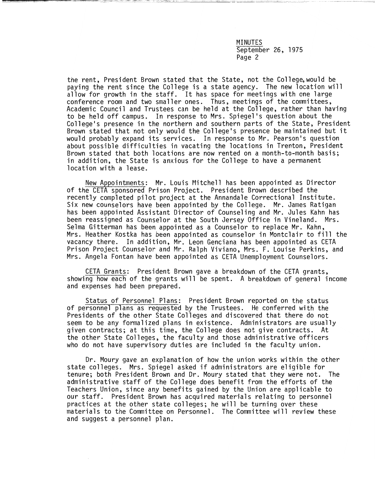the rent, President Brown stated that the State, not the College, would be paying the rent since the College is a state agency. The new location will allow for growth in the staff. It has space for meetings with one large conference room and two smaller ones. Thus, meetings of the committees, Academic Council and Trustees can be held at the College, rather than having to be held off campus. In response to Mrs. Spiegel's question about the College's presence in the northern and southern parts of the State, President Brown stated that not only would the College's presence be maintained but it would probably expand its services. In response to Mr. Pearson's question about possible difficulties in vacating the locations in Trenton, President Brown stated that both locations are now rented on a month-to-month basis; in addition, the State is anxious for the College to have a permanent location with a lease.

New Appointments: Mr. Louis Mitchell has been appointed as Director of the CETA sponsored Prison Project. President Brown described the recently completed pilot project at the Annandale Correctional Institute. Six new counselors have been appointed by the College. Mr. James Ratigan has been appointed Assistant Director of Counseling and Mr. Jules Kahn has been reassigned as Counselor at the South Jersey Office in Vineland. Mrs. Selma Gitterman has been appointed as a Counselor to replace Mr. Kahn, Mrs. Heather Kostka has been appointed as counselor in Montclair to fill the vacancy there. In addition, Mr. Leon Genciana has been appointed as CETA Prison Project Counselor and Mr. Ralph Viviano, Mrs. F. Louise Perkins, and Mrs. Angela Fontan have been appointed as CETA Unemployment Counselors.

CETA Grants: President Brown gave a breakdown of the CETA grants, showing how each of the grants will be spent. A breakdown of general income and expenses had been prepared.

Status of Personnel Plans: President Brown reported on the status of personnel plans as requested by the Trustees. He conferred with the Presidents of the other State Colleges and discovered that there do not seem to be any formalized plans in existence. Administrators are usually given contracts; at this time, the College does not give contracts. At the other State Colleges, the faculty and those administrative officers who do not have supervisory duties are included in the faculty union.

Dr. Moury gave an explanation of how the union works within the other state colleges. Mrs. Spiegel asked if administrators are eligible for tenure; both President Brown and Dr. Moury stated that they were not. The administrative staff of the College does benefit from the efforts of the Teachers Union, since any benefits gained by the Union are applicable to our staff. President Brown has acquired materials relating to personnel practices at the other state colleges; he will be turning over these materials to the Committee on Personnel. The Committee will review these and suggest a personnel plan.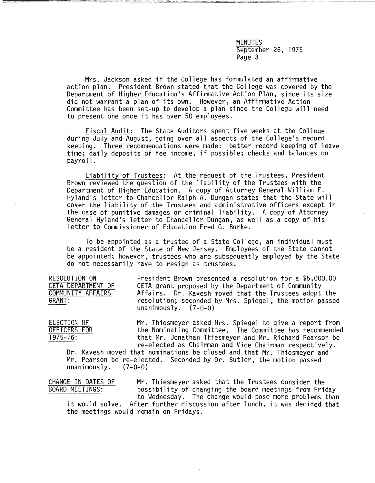Mrs. Jackson asked if the College has formulated an affirmative action plan. President Brown stated that the College was covered by the Department of Higher Education's Affirmative Action Plan, since its size did not warrant a plan of its own. However, an Affirmative Action Committee has been set-up to develop a plan since the College will need to present one once it has over 50 employees.

Fiscal Audit: The State Auditors spent five weeks at the College during July and August, going over all aspects of the College's record keeping. Three recommendations were made: better record keeping of leave time; daily deposits of fee income, if possible; checks and balances on payroll.

Liability of Trustees: At the request of the Trustees, President Brown reviewed the question of the liability of the Trustees with the Department of Higher Education. A copy of Attorney General William F. Hyland's letter to Chancellor Ralph A. Dungan states that the State will cover the liability of the Trustees and administrative officers except in the case of punitive damages or criminal liability. A copy of Attorney General Hyland's letter to Chancellor Dungan, as well as a copy of his letter to Commissioner of Education Fred G. Burke.

To be appointed as a trustee of a State College, an individual must be a resident of the State of New Jersey. Employees of the State cannot be appointed; however, trustees who are subsequently employed by the State do not necessarily have to resign as trustees.

RESOLUTION ON President Brown presented a resolution for a \$5,000.00<br>CETA DEPARTMENT OF CETA grant proposed by the Department of Community CETA DEPARTMENT OF CETA grant proposed by the Department of Community<br>COMMUNITY AFFAIRS Affairs. Dr. Kavesh moved that the Trustees adopt COMMUNITY AFFAIRS 60 affairs. Dr. Kavesh moved that the Trustees adopt the GRANT: resolution; seconded by Mrs. Spiegel, the motion passed unanimously. (7-0-0)

ELECTION OF Thiesmeyer asked Mrs. Spiegel to give a report from<br>OFFICERS FOR The Nominating Committee. The Committee has recommended OFFICERS FOR The Nominating Committee. The Committee has recommended<br>1975-76: The that Mr. Jonathan Thiesmeyer and Mr. Richard Pearson be that Mr. Jonathan Thiesmeyer and Mr. Richard Pearson be re-elected as Chairman and Vice Chairman respectively.

Dr. Kavesh moved that nominations be closed and that Mr. Thiesmeyer and Mr. Pearson be re-elected. Seconded by Dr. Butler, the motion passed unanimously.  $(7-0-0)$  $unanimously.$ 

CHANGE IN DATES OF Mr. Thiesmeyer asked that the Trustees consider the<br>BOARD MEETINGS: possibility of changing the board meetings from Fri possibility of changing the board meetings from Friday to Wednesday. The change would pose more problems than

it would solve. After further discussion after lunch, it was decided that the meetings would remain on Fridays.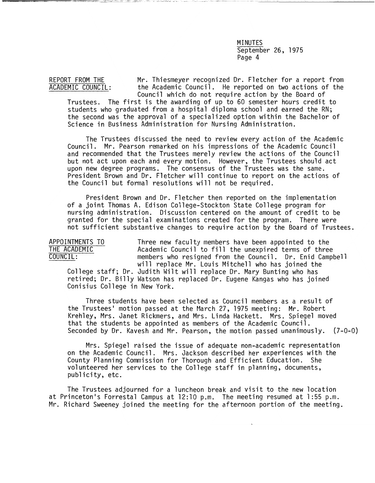REPORT FROM THE Mr. Thiesmeyer recognized Dr. Fletcher for a report from<br>ACADEMIC COUNCIL: the Academic Council. He reported on two actions of the the Academic Council. He reported on two actions of the Council which do not require action by the Board of

Trustees. The first is the awarding of up to 60 semester hours credit to students who graduated from a hospital diploma school and earned the RN; the second was the approval of a specialized option within the Bachelor of Science in Business Administration for Nursing Administration.

The Trustees discussed the need to review every action of the Academic Council. Mr. Pearson remarked on his impressions of the Academic Council and recommended that the Trustees merely review the actions of the Council but not act upon each and every motion. However, the Trustees should act upon new degree programs. The consensus of the Trustees was the same. President Brown and Dr. Fletcher will continue to report on the actions of the Council but formal resolutions will not be required.

President Brown and Dr. Fletcher then reported on the implementation of a joint Thomas A. Edison College-Stockton State College program for nursing administration. Discussion centered on the amount of credit to be granted for the special examinations created for the program. There were not sufficient substantive changes to require action by the Board of Trustees.

APPOINTMENTS TO Three new faculty members have been appointed to the<br>THE ACADEMIC THE Academic Council to fill the unexpired terms of three THE ACADEMIC **Academic Council to fill the unexpired terms of three**<br>
COUNCIL: TOUNCIL: The members who resigned from the Council. Dr. Enid Cample members who resigned from the Council. Dr. Enid Campbell will replace Mr. Louis Mitchell who has joined the

College staff; Dr. Judith Wilt will replace Dr. Mary Bunting who has retired; Dr. Billy Watson has replaced Dr. Eugene Kangas who has joined Conisius College in New York.

Three students have been selected as Council members as a result of the Trustees' motion passed at the March 27, 1975 meeting: Mr. Robert Kreh1ey, Mrs. Janet Rickmers, and Mrs. Linda Hackett. Mrs. Spiegel moved that the students be appointed as members of the Academic Council. Seconded by Dr. Kavesh and Mr. Pearson, the motion passed unanimously. (7-0-0)

Mrs. Spiegel raised the issue of adequate non-academic representation on the Academic Council. Mrs. Jackson described her experiences with the County Planning Commission for Thorough and Efficient Education. She volunteered her services to the College staff in planning, documents, publicity, etc.

The Trustees adjourned for a luncheon break and visit to the new location at Princeton's Forrestal Campus at 12:10 p.m. The meeting resumed at 1:55 p.m. Mr. Richard Sweeney joined the meeting for the afternoon portion of the meeting.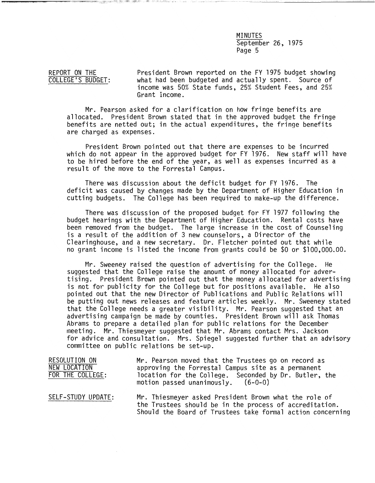REPORT ON THE **President Brown reported on the FY 1975** budget showing<br>COLLEGE'S BUDGET: what had been budgeted and actually spent. Source of what had been budgeted and actually spent. Source of income was 50% State funds, 25% Student Fees, and 25% Grant Income.

Mr. Pearson asked for a clarification on how fringe benefits are allocated. President Brown stated that in the approved budget the fringe benefits are netted out; in the actual expenditures, the fringe benefits are charged as expenses.

President Brown pointed out that there are expenses to be incurred which do not appear in the approved budget for FY 1976. New staff will have to be hired before the end of the year, as well as expenses incurred as a result of the move to the Forrestal Campus.

There was discussion about the deficit budget for FY 1976. The deficit was caused by changes made by the Department of Higher Education in cutting budgets. The College has been required to make-up the difference.

There was discussion of the proposed budget for FY 1977 following the budget hearings with the Department of Higher Education. Rental costs have been removed from the budget. The large increase in the cost of Counseling is a result of the addition of 3 new counselors, a Director of the Clearinghouse, and a new secretary. Dr. Fletcher pointed out that while no grant income is listed the income from grants could be \$0 or \$100,000.00.

Mr. Sweeney raised the question of advertising for the College. He suggested that the College raise the amount of money allocated for advertising. President Brown pointed out that the money allocated for advertising is not for publicity for the College but for positions available. He also pointed out that the new Director of Publications and Public Relations will be putting out news releases and feature articles weekly. Mr. Sweeney stated that the College needs a greater visibility. Mr. Pearson suggested that an advertising campaign be made by counties. President Brown will ask Thomas Abrams to prepare a detailed plan for public relations for the December meeting. Mr. Thiesmeyer suggested that Mr. Abrams contact Mrs. Jackson for advice and consultation. Mrs. Spiegel suggested further that an advisory committee on public relations be set-up.

| RESOLUTION ON<br><b>NEW LOCATION</b><br>FOR THE COLLEGE: | Mr. Pearson moved that the Trustees go on record as<br>approving the Forrestal Campus site as a permanent<br>location for the College. Seconded by Dr. Butler, the<br>motion passed unanimously. $(6-0-0)$ |
|----------------------------------------------------------|------------------------------------------------------------------------------------------------------------------------------------------------------------------------------------------------------------|
| SELF-STUDY UPDATE:                                       | Mr. Thiesmeyer asked President Brown what the role of<br>the Trustees should be in the process of accreditation.                                                                                           |

Should the Board of Trustees take formal action concerning